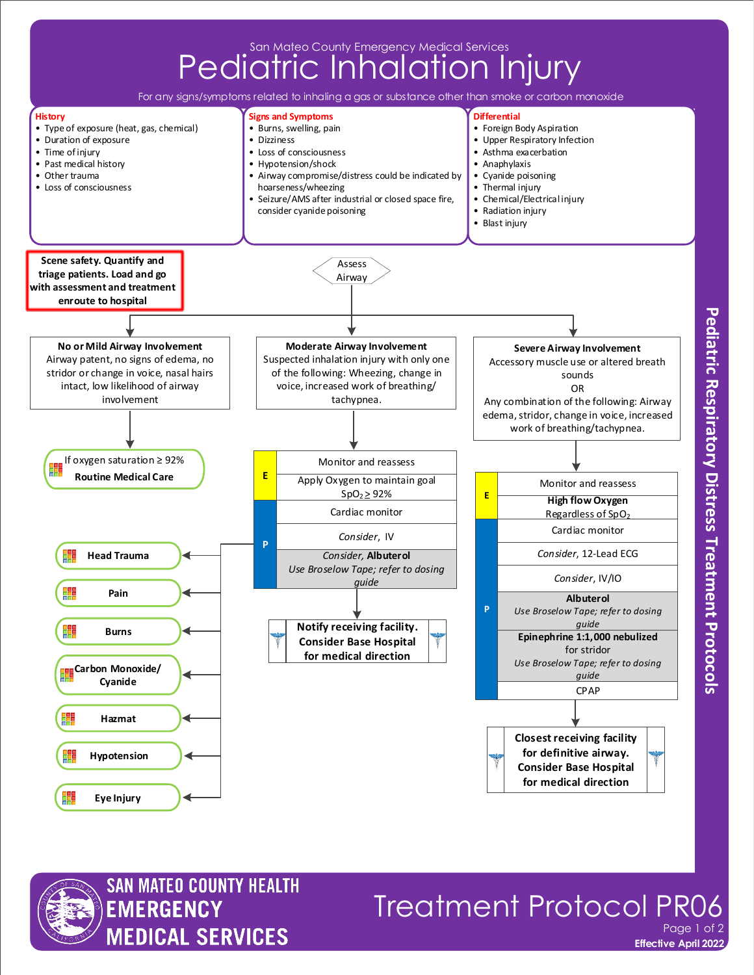

## **Pediatric Respiratory Distress Treatment Protocols**



## **Treatment Protocol PR0** Page 1 of 2

**Effective April 2022**